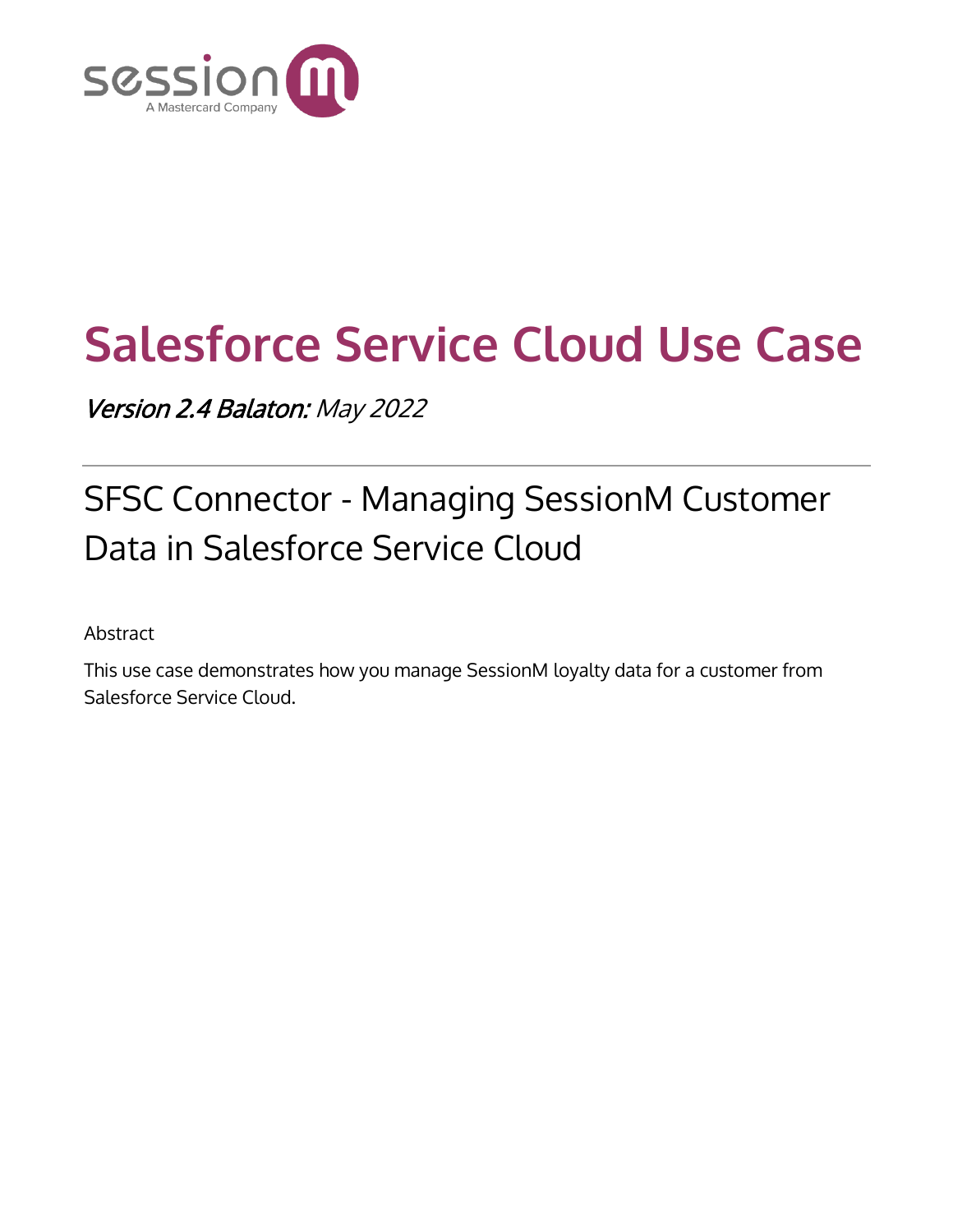

# **Salesforce Service Cloud Use Case**

Version 2.4 Balaton: May 2022

## SFSC Connector - Managing SessionM Customer Data in Salesforce Service Cloud

Abstract

This use case demonstrates how you manage SessionM loyalty data for a customer from Salesforce Service Cloud.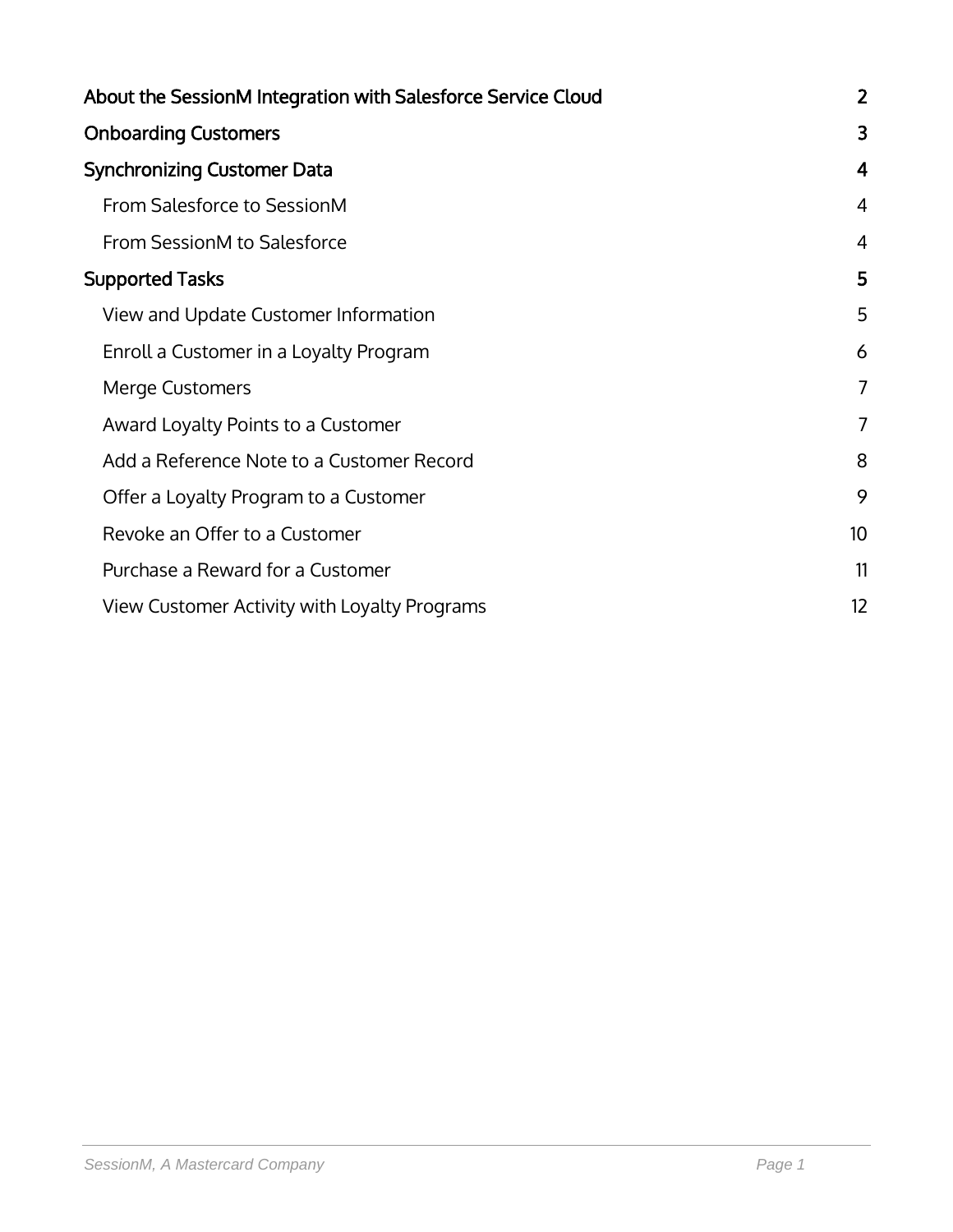| About the SessionM Integration with Salesforce Service Cloud |                |
|--------------------------------------------------------------|----------------|
| <b>Onboarding Customers</b>                                  | 3              |
| <b>Synchronizing Customer Data</b>                           | $\overline{4}$ |
| From Salesforce to SessionM                                  | $\overline{A}$ |
| <b>From SessionM to Salesforce</b>                           | $\overline{4}$ |
| <b>Supported Tasks</b>                                       | 5              |
| View and Update Customer Information                         | 5              |
| Enroll a Customer in a Loyalty Program                       | 6              |
| <b>Merge Customers</b>                                       | $\overline{7}$ |
| Award Loyalty Points to a Customer                           | $\overline{7}$ |
| Add a Reference Note to a Customer Record                    | 8              |
| Offer a Loyalty Program to a Customer                        | 9              |
| Revoke an Offer to a Customer                                | 10             |
| Purchase a Reward for a Customer                             | 11             |
| View Customer Activity with Loyalty Programs                 | 12             |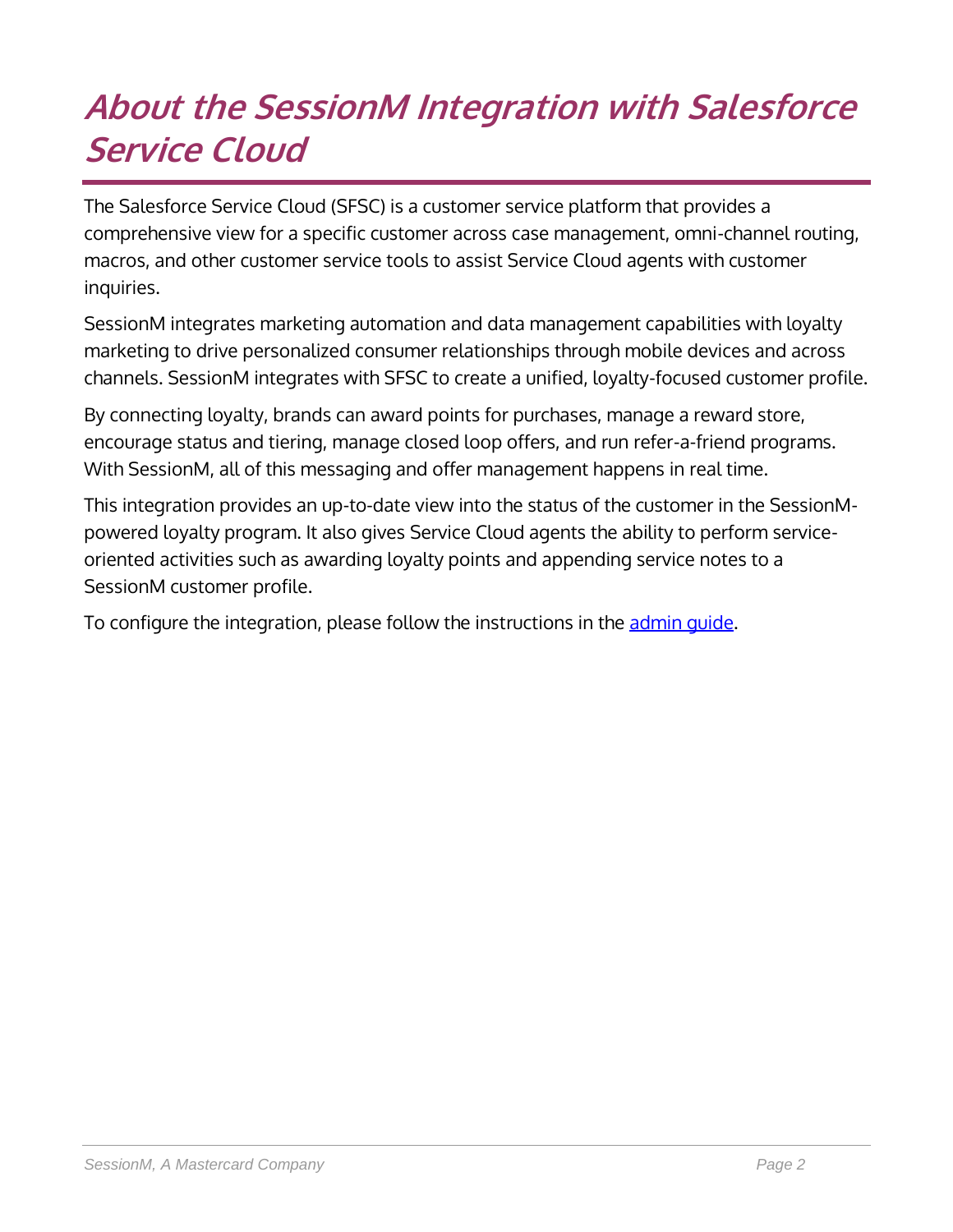### <span id="page-2-0"></span>**About the SessionM Integration with Salesforce Service Cloud**

The Salesforce Service Cloud (SFSC) is a customer service platform that provides a comprehensive view for a specific customer across case management, omni-channel routing, macros, and other customer service tools to assist Service Cloud agents with customer inquiries.

SessionM integrates marketing automation and data management capabilities with loyalty marketing to drive personalized consumer relationships through mobile devices and across channels. SessionM integrates with SFSC to create a unified, loyalty-focused customer profile.

By connecting loyalty, brands can award points for purchases, manage a reward store, encourage status and tiering, manage closed loop offers, and run refer-a-friend programs. With SessionM, all of this messaging and offer management happens in real time.

This integration provides an up-to-date view into the status of the customer in the SessionMpowered loyalty program. It also gives Service Cloud agents the ability to perform serviceoriented activities such as awarding loyalty points and appending service notes to a SessionM customer profile.

To configure the integration, please follow the instructions in the admin quide.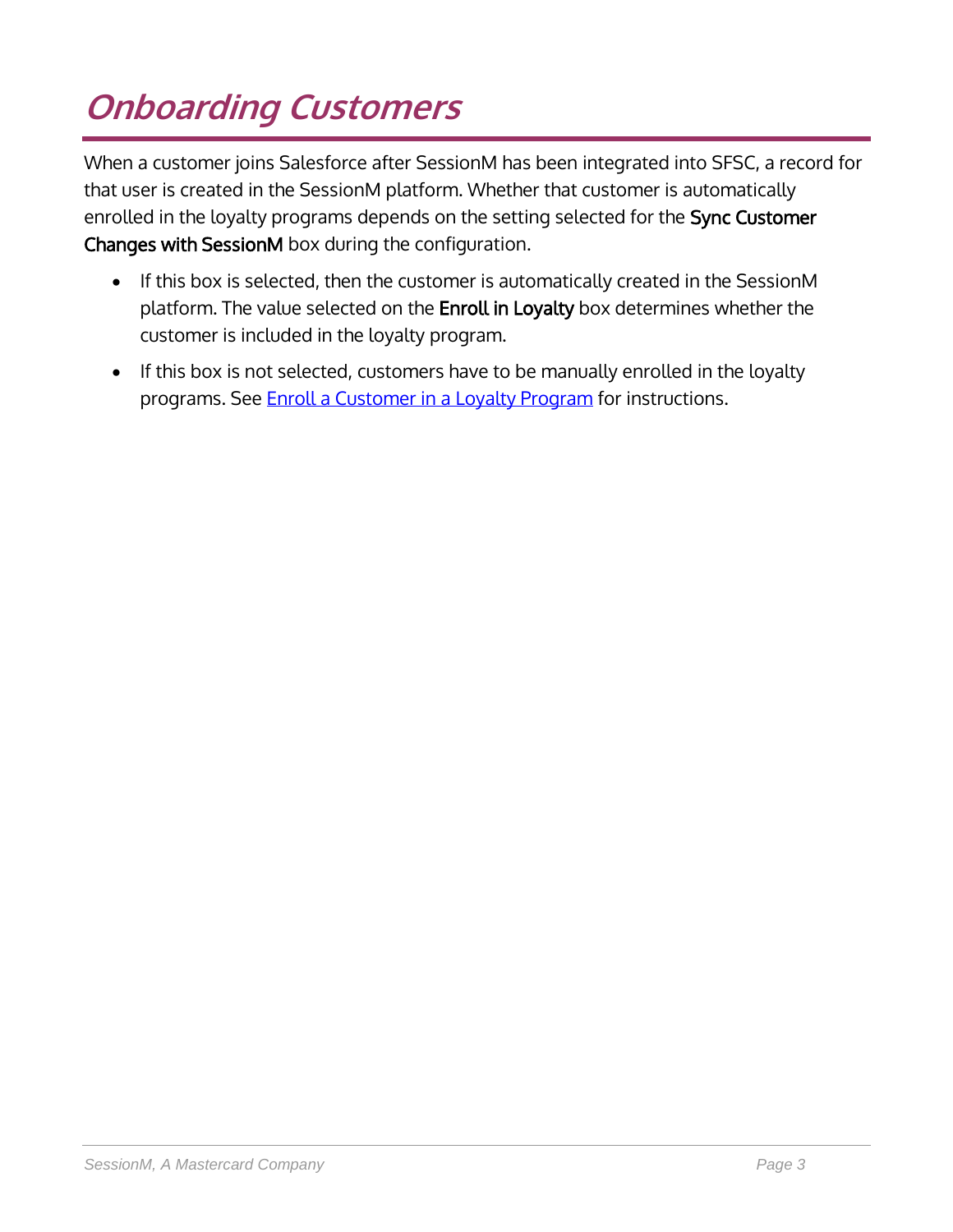## <span id="page-3-0"></span>**Onboarding Customers**

When a customer joins Salesforce after SessionM has been integrated into SFSC, a record for that user is created in the SessionM platform. Whether that customer is automatically enrolled in the loyalty programs depends on the setting selected for the Sync Customer Changes with SessionM box during the configuration.

- If this box is selected, then the customer is automatically created in the SessionM platform. The value selected on the **Enroll in Loyalty** box determines whether the customer is included in the loyalty program.
- If this box is not selected, customers have to be manually enrolled in the loyalty programs. See **Enroll a Customer in a Loyalty Program** for instructions.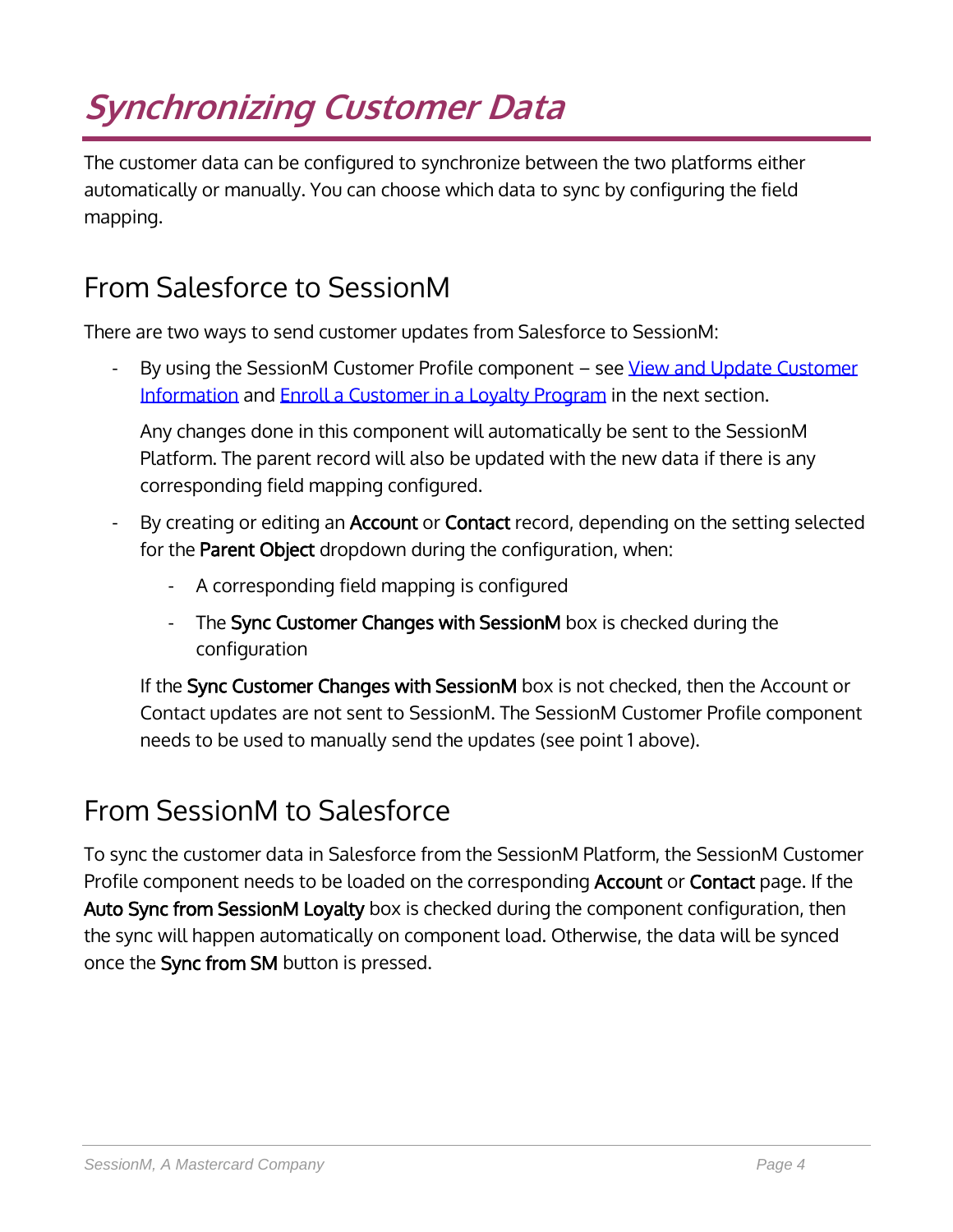### <span id="page-4-0"></span>**Synchronizing Customer Data**

The customer data can be configured to synchronize between the two platforms either automatically or manually. You can choose which data to sync by configuring the field mapping.

#### <span id="page-4-1"></span>From Salesforce to SessionM

There are two ways to send customer updates from Salesforce to SessionM:

By using the SessionM Customer Profile component – see View and Update Customer [Information](#page-5-1) and Enroll a Customer in a Lovalty Program in the next section.

Any changes done in this component will automatically be sent to the SessionM Platform. The parent record will also be updated with the new data if there is any corresponding field mapping configured.

- By creating or editing an Account or Contact record, depending on the setting selected for the Parent Object dropdown during the configuration, when:
	- A corresponding field mapping is configured
	- The Sync Customer Changes with SessionM box is checked during the configuration

If the Sync Customer Changes with SessionM box is not checked, then the Account or Contact updates are not sent to SessionM. The SessionM Customer Profile component needs to be used to manually send the updates (see point 1 above).

#### <span id="page-4-2"></span>From SessionM to Salesforce

To sync the customer data in Salesforce from the SessionM Platform, the SessionM Customer Profile component needs to be loaded on the corresponding **Account** or **Contact** page. If the Auto Sync from SessionM Loyalty box is checked during the component configuration, then the sync will happen automatically on component load. Otherwise, the data will be synced once the **Sync from SM** button is pressed.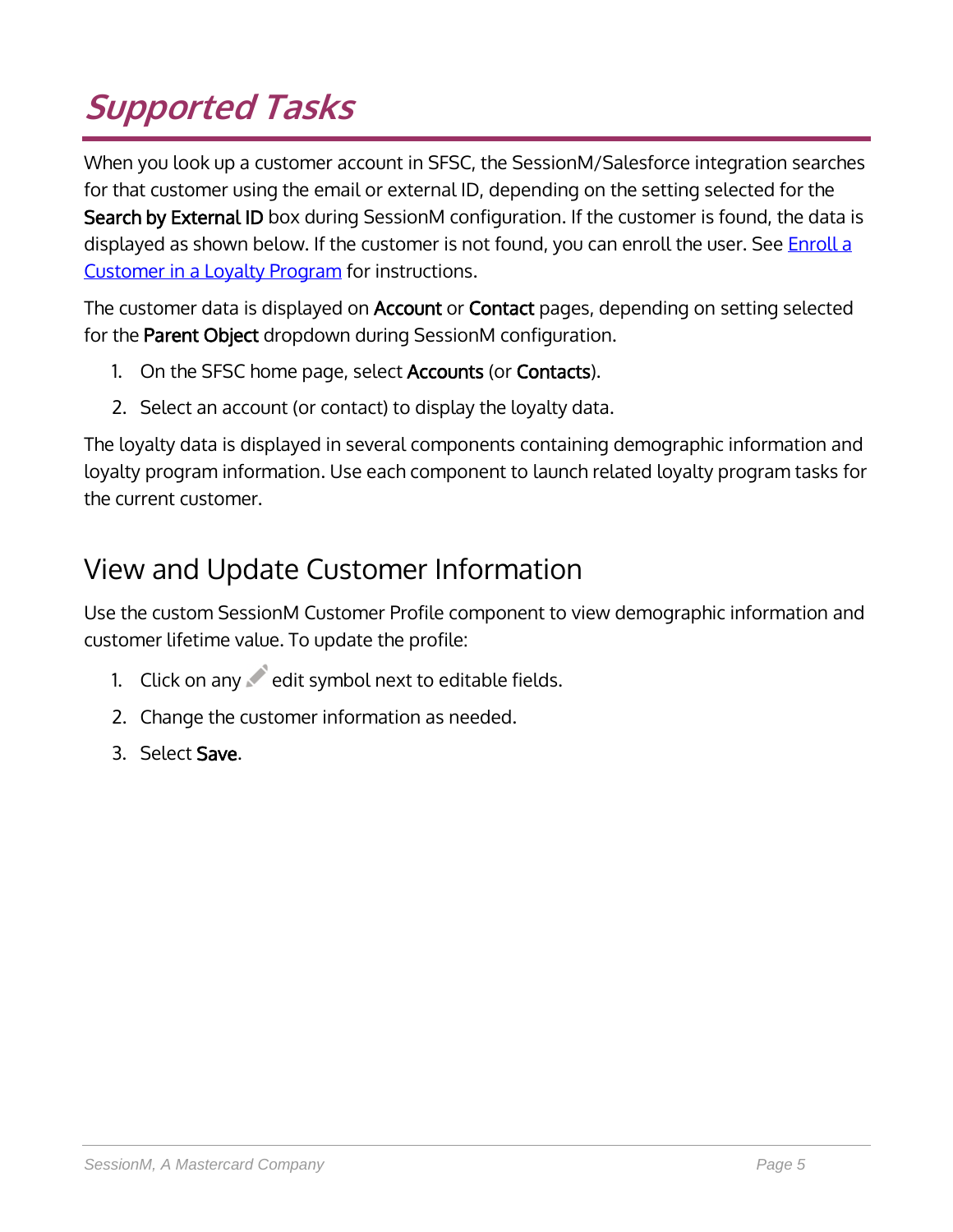## <span id="page-5-0"></span>**Supported Tasks**

When you look up a customer account in SFSC, the SessionM/Salesforce integration searches for that customer using the email or external ID, depending on the setting selected for the Search by External ID box during SessionM configuration. If the customer is found, the data is displayed as shown below. If the customer is not found, you can enroll the user. See Enroll a [Customer in a Loyalty Program](#page-6-0) for instructions.

The customer data is displayed on **Account** or **Contact** pages, depending on setting selected for the Parent Object dropdown during SessionM configuration.

- 1. On the SFSC home page, select **Accounts** (or **Contacts**).
- 2. Select an account (or contact) to display the loyalty data.

The loyalty data is displayed in several components containing demographic information and loyalty program information. Use each component to launch related loyalty program tasks for the current customer.

#### <span id="page-5-1"></span>View and Update Customer Information

Use the custom SessionM Customer Profile component to view demographic information and customer lifetime value. To update the profile:

- 1. Click on any edit symbol next to editable fields.
- 2. Change the customer information as needed.
- 3. Select Save.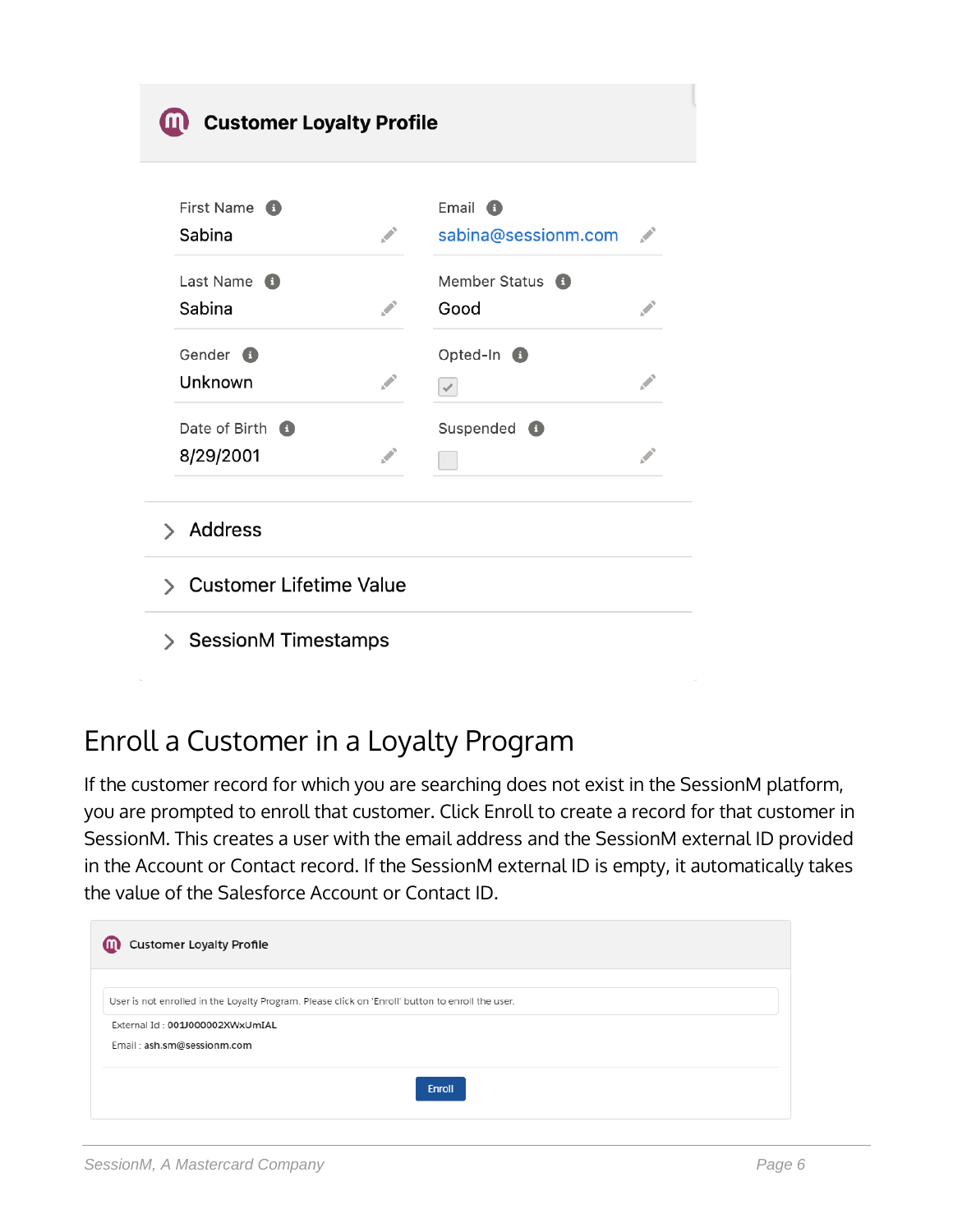Customer Loyalty Profile

| First Name <b>B</b><br><b>AND</b><br>Sabina              | Email <b>B</b><br>sabina@sessionm.com<br>$\mathcal{L}$ |                   |  |
|----------------------------------------------------------|--------------------------------------------------------|-------------------|--|
| Last Name <b>B</b><br>Sabina<br><b>CONTRACTOR</b>        | Member Status <sup>6</sup><br>Good                     |                   |  |
| Gender <sup>6</sup><br><b>AND REA</b><br>Unknown         | Opted-In <b>O</b>                                      |                   |  |
| Date of Birth $\bigoplus$<br><b>AND RES</b><br>8/29/2001 | Suspended <b>O</b>                                     | <b>CONTRACTOR</b> |  |
|                                                          |                                                        |                   |  |
| <b>Address</b>                                           |                                                        |                   |  |
| > Customer Lifetime Value                                |                                                        |                   |  |
| > SessionM Timestamps                                    |                                                        |                   |  |

#### <span id="page-6-0"></span>Enroll a Customer in a Loyalty Program

If the customer record for which you are searching does not exist in the SessionM platform, you are prompted to enroll that customer. Click Enroll to create a record for that customer in SessionM. This creates a user with the email address and the SessionM external ID provided in the Account or Contact record. If the SessionM external ID is empty, it automatically takes the value of the Salesforce Account or Contact ID.

| ⋒<br><b>Customer Loyalty Profile</b>                                                                                                                              |  |
|-------------------------------------------------------------------------------------------------------------------------------------------------------------------|--|
| User is not enrolled in the Loyalty Program. Please click on 'Enroll' button to enroll the user.<br>External Id: 001J000002XWxUmIAL<br>Email: ash.sm@sessionm.com |  |
| Enroll                                                                                                                                                            |  |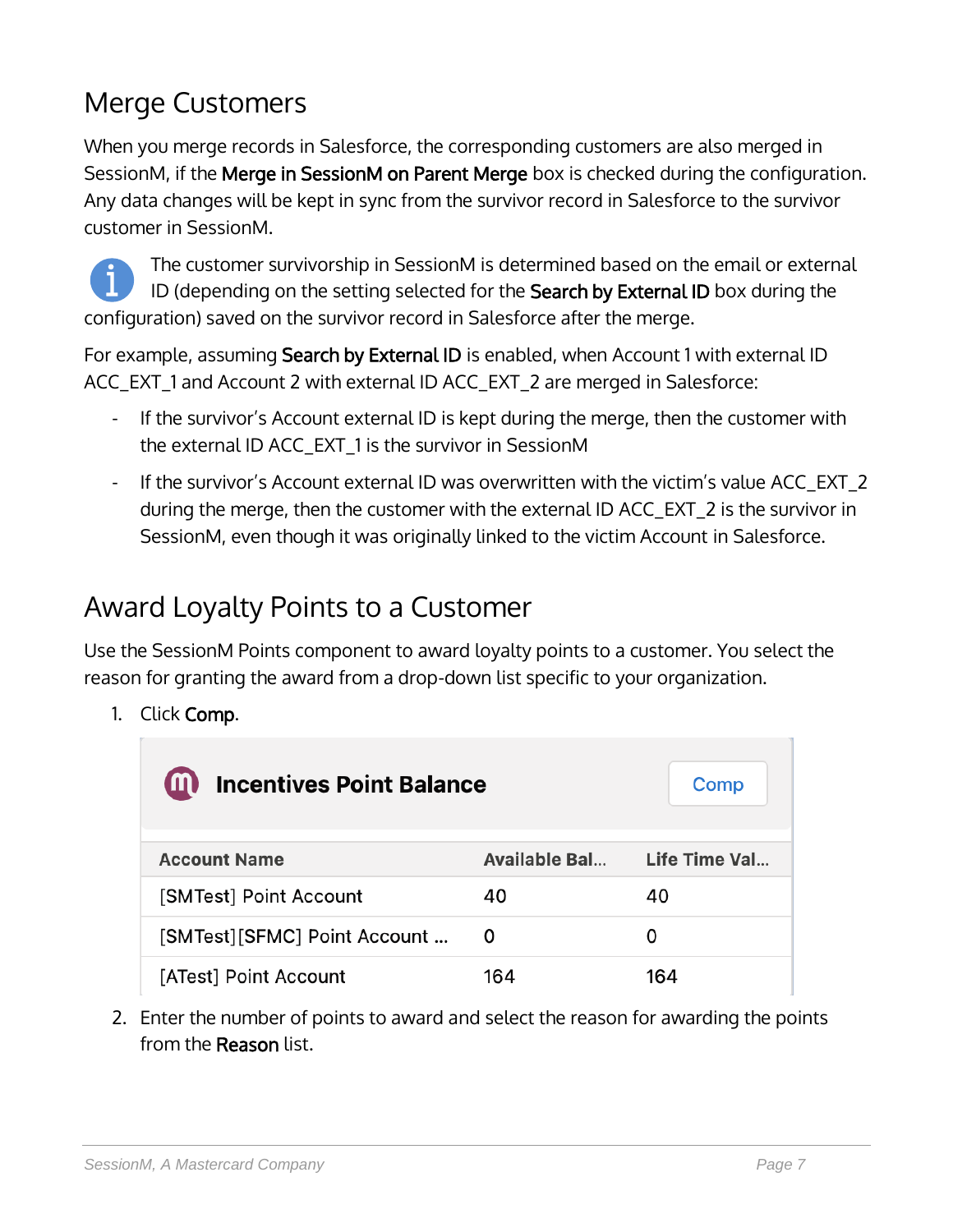### <span id="page-7-0"></span>Merge Customers

When you merge records in Salesforce, the corresponding customers are also merged in SessionM, if the Merge in SessionM on Parent Merge box is checked during the configuration. Any data changes will be kept in sync from the survivor record in Salesforce to the survivor customer in SessionM.

The customer survivorship in SessionM is determined based on the email or external ID (depending on the setting selected for the Search by External ID box during the configuration) saved on the survivor record in Salesforce after the merge.

For example, assuming Search by External ID is enabled, when Account 1 with external ID ACC\_EXT\_1 and Account 2 with external ID ACC\_EXT\_2 are merged in Salesforce:

- If the survivor's Account external ID is kept during the merge, then the customer with the external ID ACC\_EXT\_1 is the survivor in SessionM
- If the survivor's Account external ID was overwritten with the victim's value ACC\_EXT\_2 during the merge, then the customer with the external ID ACC\_EXT\_2 is the survivor in SessionM, even though it was originally linked to the victim Account in Salesforce.

### <span id="page-7-1"></span>Award Loyalty Points to a Customer

Use the SessionM Points component to award loyalty points to a customer. You select the reason for granting the award from a drop-down list specific to your organization.

1. Click Comp.

| m<br><b>Incentives Point Balance</b><br>Comp |                      |               |  |
|----------------------------------------------|----------------------|---------------|--|
| <b>Account Name</b>                          | <b>Available Bal</b> | Life Time Val |  |
| [SMTest] Point Account                       | 40                   | 40            |  |
| [SMTest][SFMC] Point Account                 | 0                    | O             |  |
| [ATest] Point Account                        | 164                  | 164           |  |

2. Enter the number of points to award and select the reason for awarding the points from the Reason list.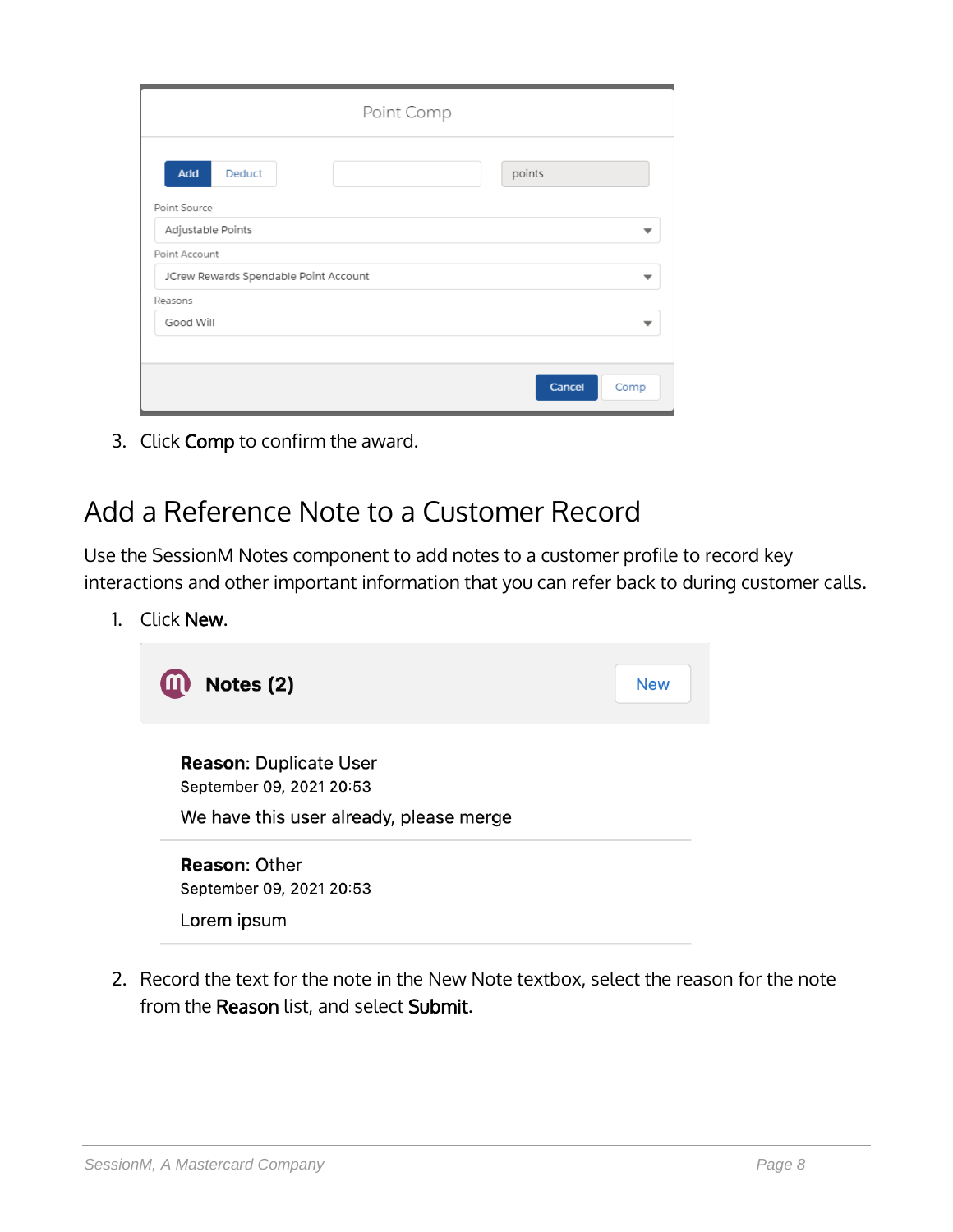| Point Comp                            |                          |
|---------------------------------------|--------------------------|
| Add<br>Deduct                         | points                   |
| Point Source<br>Adjustable Points     | ┳                        |
| Point Account                         |                          |
| JCrew Rewards Spendable Point Account | ┳                        |
| Reasons                               |                          |
| Good Will                             | $\overline{\phantom{a}}$ |
|                                       | Cancel<br>Comp           |

3. Click Comp to confirm the award.

#### <span id="page-8-0"></span>Add a Reference Note to a Customer Record

Use the SessionM Notes component to add notes to a customer profile to record key interactions and other important information that you can refer back to during customer calls.

1. Click New.

| Notes (2)                                                       | <b>New</b> |
|-----------------------------------------------------------------|------------|
| <b>Reason: Duplicate User</b><br>September 09, 2021 20:53       |            |
| We have this user already, please merge                         |            |
| <b>Reason: Other</b><br>September 09, 2021 20:53<br>Lorem ipsum |            |

2. Record the text for the note in the New Note textbox, select the reason for the note from the Reason list, and select Submit.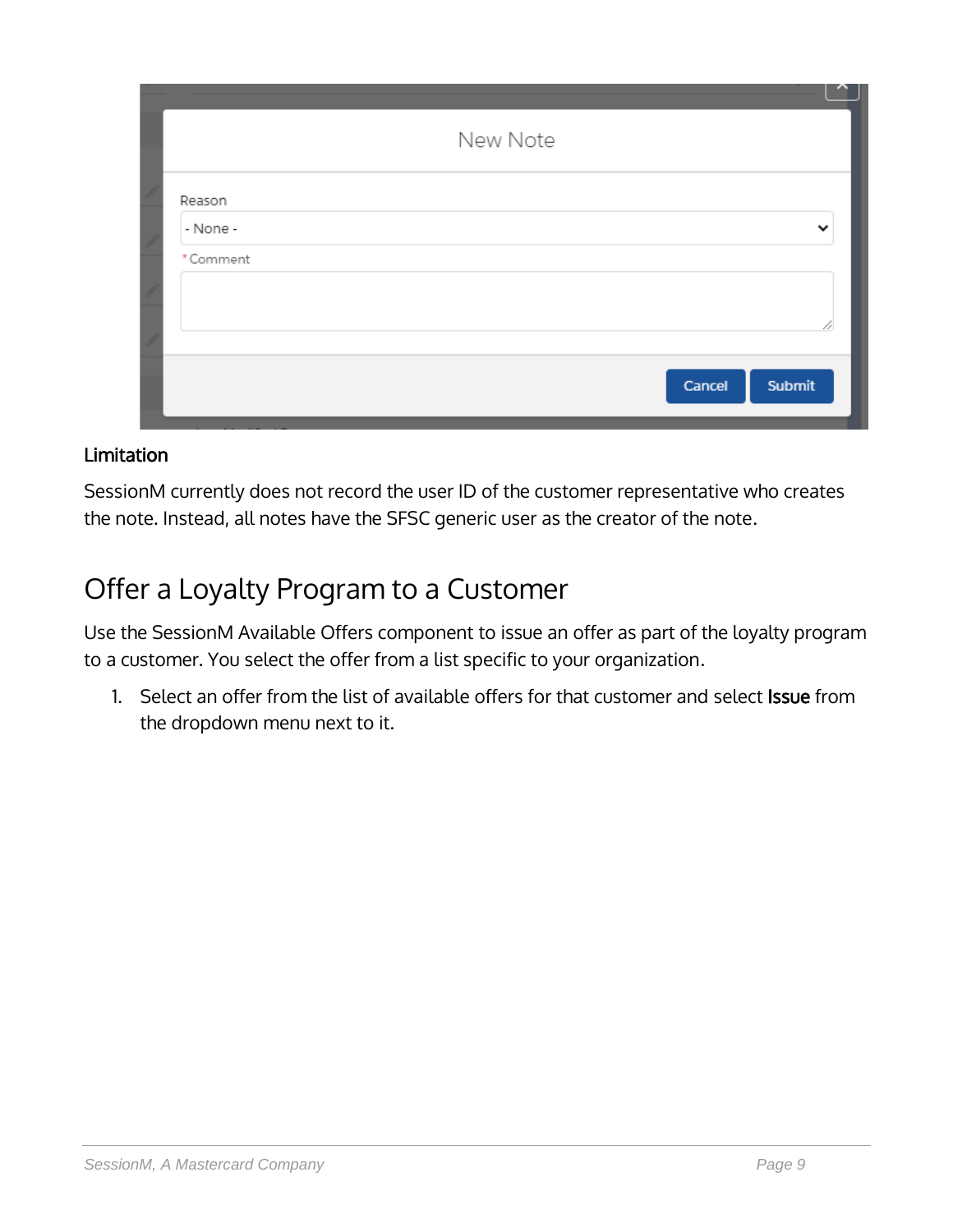|          | New Note |        |              |
|----------|----------|--------|--------------|
| Reason   |          |        |              |
| - None - |          |        | $\checkmark$ |
| *Comment |          |        |              |
|          |          |        |              |
|          |          |        | 4            |
|          |          |        |              |
|          |          | Cancel | Submit       |

#### **Limitation**

SessionM currently does not record the user ID of the customer representative who creates the note. Instead, all notes have the SFSC generic user as the creator of the note.

#### <span id="page-9-0"></span>Offer a Loyalty Program to a Customer

Use the SessionM Available Offers component to issue an offer as part of the loyalty program to a customer. You select the offer from a list specific to your organization.

1. Select an offer from the list of available offers for that customer and select Issue from the dropdown menu next to it.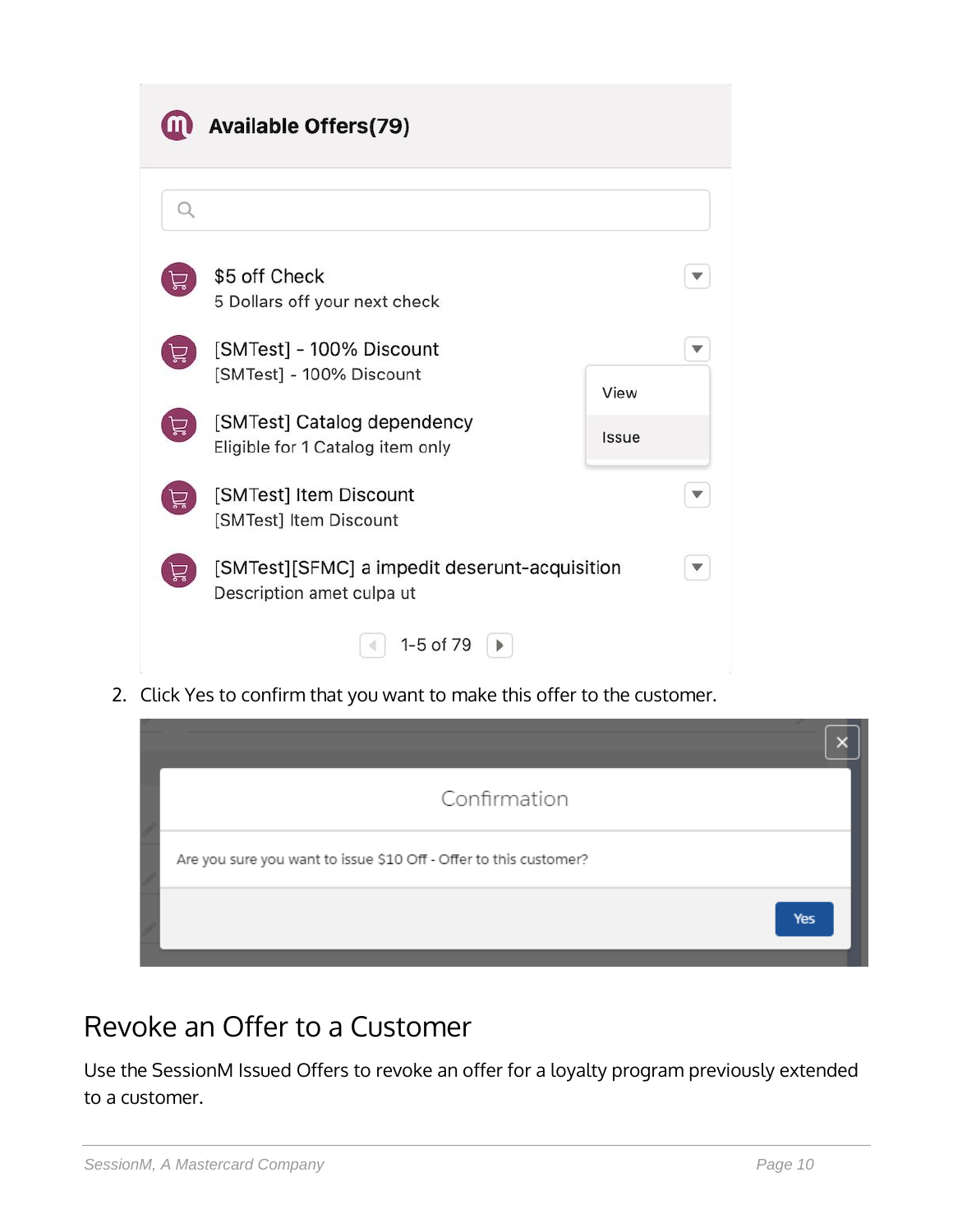| <b>Available Offers(79)</b> |                                                                            |              |  |  |  |
|-----------------------------|----------------------------------------------------------------------------|--------------|--|--|--|
| Q                           |                                                                            |              |  |  |  |
|                             | \$5 off Check<br>5 Dollars off your next check                             |              |  |  |  |
|                             | [SMTest] - 100% Discount<br>[SMTest] - 100% Discount                       | View         |  |  |  |
|                             | [SMTest] Catalog dependency<br>Eligible for 1 Catalog item only            | <b>Issue</b> |  |  |  |
|                             | [SMTest] Item Discount<br>[SMTest] Item Discount                           |              |  |  |  |
|                             | [SMTest][SFMC] a impedit deserunt-acquisition<br>Description amet culpa ut |              |  |  |  |
|                             | 1-5 of 79                                                                  |              |  |  |  |

2. Click Yes to confirm that you want to make this offer to the customer.



### <span id="page-10-0"></span>Revoke an Offer to a Customer

Use the SessionM Issued Offers to revoke an offer for a loyalty program previously extended to a customer.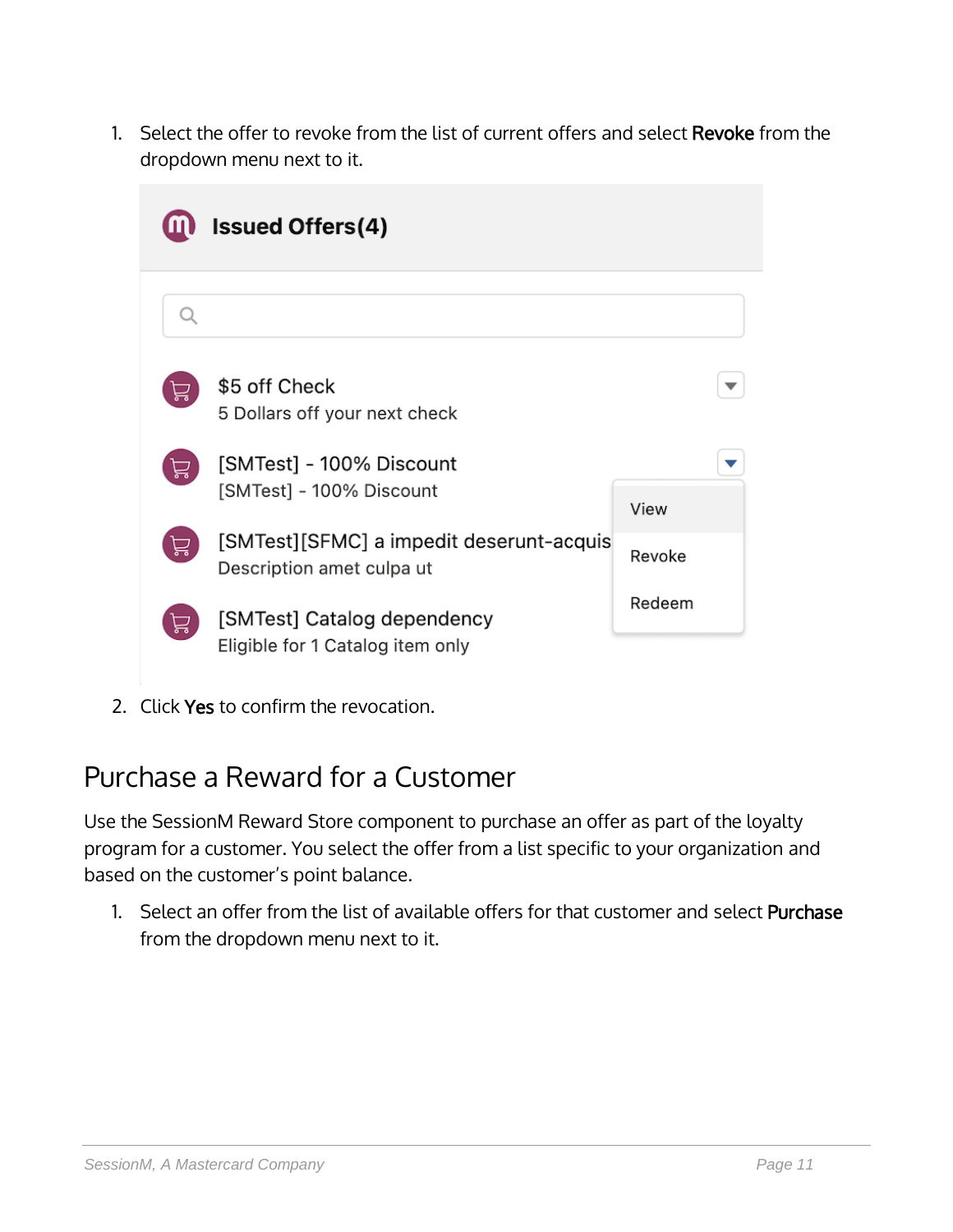1. Select the offer to revoke from the list of current offers and select Revoke from the dropdown menu next to it.

| <b>Issued Offers(4)</b>                                               |        |
|-----------------------------------------------------------------------|--------|
|                                                                       |        |
| \$5 off Check<br>5 Dollars off your next check                        |        |
| [SMTest] - 100% Discount<br>[SMTest] - 100% Discount                  | View   |
| [SMTest][SFMC] a impedit deserunt-acquis<br>Description amet culpa ut | Revoke |
| [SMTest] Catalog dependency<br>Eligible for 1 Catalog item only       | Redeem |

2. Click Yes to confirm the revocation.

#### <span id="page-11-0"></span>Purchase a Reward for a Customer

Use the SessionM Reward Store component to purchase an offer as part of the loyalty program for a customer. You select the offer from a list specific to your organization and based on the customer's point balance.

1. Select an offer from the list of available offers for that customer and select **Purchase** from the dropdown menu next to it.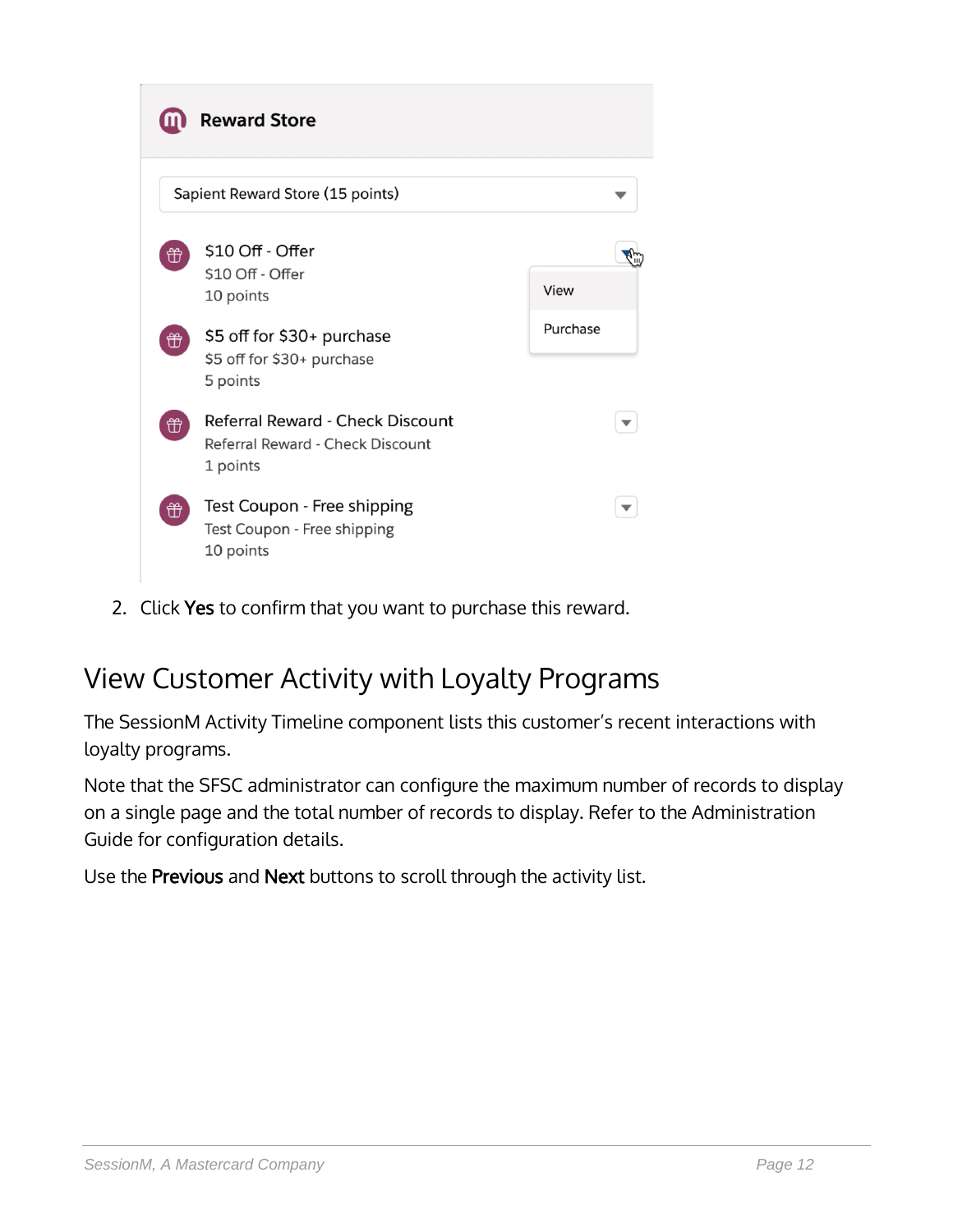

2. Click Yes to confirm that you want to purchase this reward.

#### <span id="page-12-0"></span>View Customer Activity with Loyalty Programs

The SessionM Activity Timeline component lists this customer's recent interactions with loyalty programs.

Note that the SFSC administrator can configure the maximum number of records to display on a single page and the total number of records to display. Refer to the Administration Guide for configuration details.

Use the Previous and Next buttons to scroll through the activity list.